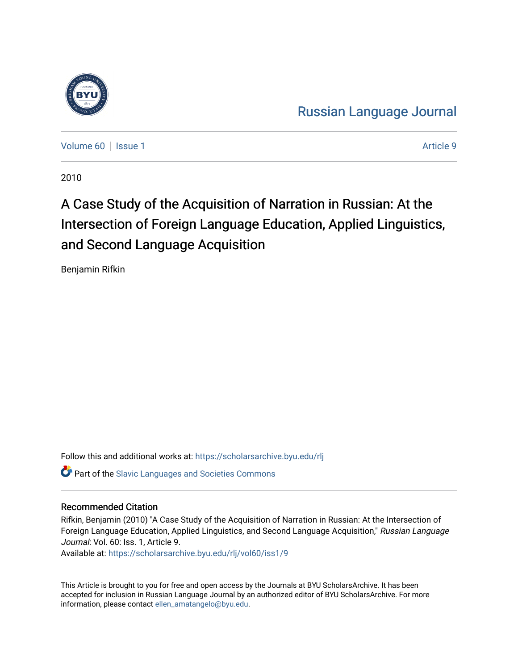

[Russian Language Journal](https://scholarsarchive.byu.edu/rlj) 

[Volume 60](https://scholarsarchive.byu.edu/rlj/vol60) | [Issue 1](https://scholarsarchive.byu.edu/rlj/vol60/iss1) Article 9

2010

# A Case Study of the Acquisition of Narration in Russian: At the Intersection of Foreign Language Education, Applied Linguistics, and Second Language Acquisition

Benjamin Rifkin

Follow this and additional works at: [https://scholarsarchive.byu.edu/rlj](https://scholarsarchive.byu.edu/rlj?utm_source=scholarsarchive.byu.edu%2Frlj%2Fvol60%2Fiss1%2F9&utm_medium=PDF&utm_campaign=PDFCoverPages) **Part of the Slavic Languages and Societies Commons** 

#### Recommended Citation

Rifkin, Benjamin (2010) "A Case Study of the Acquisition of Narration in Russian: At the Intersection of Foreign Language Education, Applied Linguistics, and Second Language Acquisition," Russian Language Journal: Vol. 60: Iss. 1, Article 9.

Available at: [https://scholarsarchive.byu.edu/rlj/vol60/iss1/9](https://scholarsarchive.byu.edu/rlj/vol60/iss1/9?utm_source=scholarsarchive.byu.edu%2Frlj%2Fvol60%2Fiss1%2F9&utm_medium=PDF&utm_campaign=PDFCoverPages) 

This Article is brought to you for free and open access by the Journals at BYU ScholarsArchive. It has been accepted for inclusion in Russian Language Journal by an authorized editor of BYU ScholarsArchive. For more information, please contact [ellen\\_amatangelo@byu.edu.](mailto:ellen_amatangelo@byu.edu)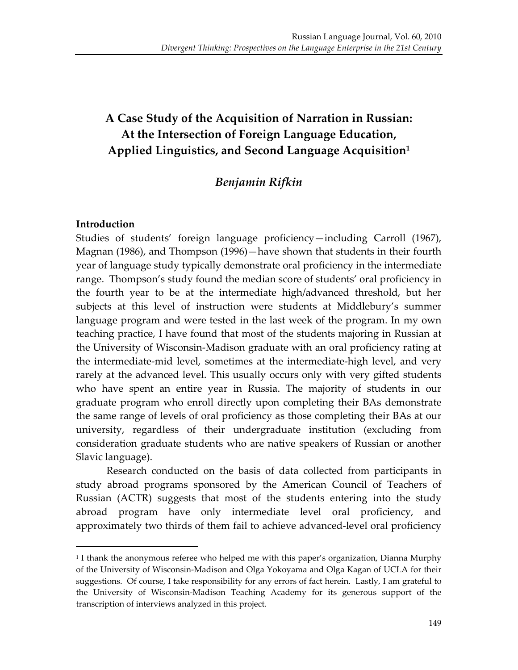# A Case Study of the Acquisition of Narration in Russian: At the Intersection of Foreign Language Education, Applied Linguistics, and Second Language Acquisition<sup>1</sup>

## *Benjamin!Rifkin*

#### **Introduction**

 $\overline{a}$ 

Studies of students' foreign language proficiency—including Carroll (1967), Magnan (1986), and Thompson (1996)—have shown that students in their fourth year of language study typically demonstrate oral proficiency in the intermediate range. Thompson's study found the median score of students' oral proficiency in the fourth year to be at the intermediate high/advanced threshold, but her subjects at this level of instruction were students at Middlebury's summer language program and were tested in the last week of the program. In my own teaching practice, I have found that most of the students majoring in Russian at the University of Wisconsin-Madison graduate with an oral proficiency rating at the intermediate-mid level, sometimes at the intermediate-high level, and very rarely at the advanced level. This usually occurs only with very gifted students who have spent an entire year in Russia. The majority of students in our graduate program who enroll directly upon completing their BAs demonstrate the same range of levels of oral proficiency as those completing their BAs at our university, regardless of their undergraduate institution (excluding from consideration graduate students who are native speakers of Russian or another Slavic language).

Research conducted on the basis of data collected from participants in study abroad programs sponsored by the American Council of Teachers of Russian (ACTR) suggests that most of the students entering into the study abroad program have only intermediate level oral proficiency, and approximately two thirds of them fail to achieve advanced-level oral proficiency

<sup>&</sup>lt;sup>1</sup> I thank the anonymous referee who helped me with this paper's organization, Dianna Murphy' of the University of Wisconsin-Madison and Olga Yokoyama and Olga Kagan of UCLA for their suggestions. Of course, I take responsibility for any errors of fact herein. Lastly, I am grateful to the University of Wisconsin-Madison Teaching Academy for its generous support of the transcription of interviews analyzed in this project.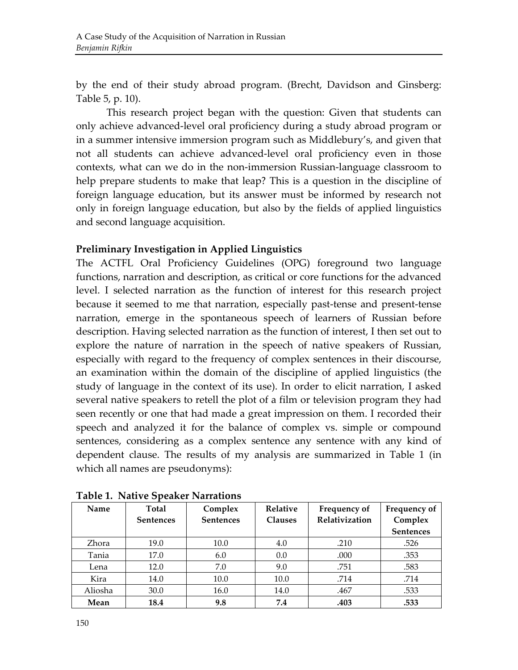by the end of their study abroad program. (Brecht, Davidson and Ginsberg: Table  $5$ , p.  $10$ ).

This research project began with the question: Given that students can only achieve advanced-level oral proficiency during a study abroad program or in a summer intensive immersion program such as Middlebury's, and given that not all students can achieve advanced-level oral proficiency even in those contexts, what can we do in the non-immersion Russian-language classroom to help prepare students to make that leap? This is a question in the discipline of foreign language education, but its answer must be informed by research not only in foreign language education, but also by the fields of applied linguistics and second language acquisition.

#### **Preliminary Investigation in Applied Linguistics**

The ACTFL Oral Proficiency Guidelines (OPG) foreground two language functions, narration and description, as critical or core functions for the advanced level. I selected narration as the function of interest for this research project because it seemed to me that narration, especially past-tense and present-tense narration, emerge in the spontaneous speech of learners of Russian before description. Having selected narration as the function of interest, I then set out to explore the nature of narration in the speech of native speakers of Russian, especially with regard to the frequency of complex sentences in their discourse, an examination within the domain of the discipline of applied linguistics (the study of language in the context of its use). In order to elicit narration, I asked several native speakers to retell the plot of a film or television program they had seen recently or one that had made a great impression on them. I recorded their speech and analyzed it for the balance of complex vs. simple or compound sentences, considering as a complex sentence any sentence with any kind of dependent clause. The results of my analysis are summarized in Table 1 (in) which all names are pseudonyms):

| Name    | Total<br><b>Sentences</b> | Complex<br><b>Sentences</b> | <b>Relative</b><br><b>Clauses</b> | Frequency of<br>Relativization | Frequency of<br>Complex<br><b>Sentences</b> |
|---------|---------------------------|-----------------------------|-----------------------------------|--------------------------------|---------------------------------------------|
| Zhora   | 19.0                      | 10.0                        | 4.0                               | .210                           | .526                                        |
| Tania   | 17.0                      | 6.0                         | 0.0                               | .000                           | .353                                        |
| Lena    | 12.0                      | 7.0                         | 9.0                               | .751                           | .583                                        |
| Kira    | 14.0                      | 10.0                        | 10.0                              | .714                           | .714                                        |
| Aliosha | 30.0                      | 16.0                        | 14.0                              | .467                           | .533                                        |
| Mean    | 18.4                      | 9.8                         | 7.4                               | .403                           | .533                                        |

**Table 1. Native Speaker Narrations**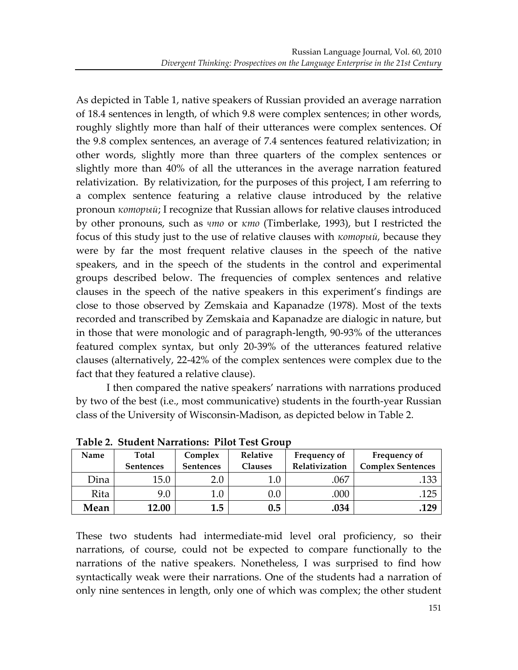As depicted in Table 1, native speakers of Russian provided an average narration of 18.4 sentences in length, of which 9.8 were complex sentences; in other words, roughly slightly more than half of their utterances were complex sentences. Of the 9.8 complex sentences, an average of 7.4 sentences featured relativization; in other words, slightly more than three quarters of the complex sentences or slightly more than 40% of all the utterances in the average narration featured relativization. By relativization, for the purposes of this project, I am referring to a complex sentence featuring a relative clause introduced by the relative pronoun *который*; I recognize that Russian allows for relative clauses introduced by other pronouns, such as *что* or *κmo* (Timberlake, 1993), but I restricted the focus of this study just to the use of relative clauses with *который*, because they were by far the most frequent relative clauses in the speech of the native speakers, and in the speech of the students in the control and experimental groups' described' below.' The' frequencies' of' complex' sentences' and' relative' clauses in the speech of the native speakers in this experiment's findings are close to those observed by Zemskaia and Kapanadze (1978). Most of the texts recorded and transcribed by Zemskaia and Kapanadze are dialogic in nature, but in those that were monologic and of paragraph-length, 90-93% of the utterances featured complex syntax, but only 20-39% of the utterances featured relative clauses (alternatively, 22-42% of the complex sentences were complex due to the fact that they featured a relative clause).

I then compared the native speakers' narrations with narrations produced by two of the best (i.e., most communicative) students in the fourth-year Russian class of the University of Wisconsin-Madison, as depicted below in Table 2.

| Name | <b>Total</b><br><b>Sentences</b> | Complex<br><b>Sentences</b> | <b>Relative</b><br>Clauses | <b>Frequency of</b><br>Relativization | Frequency of<br><b>Complex Sentences</b> |
|------|----------------------------------|-----------------------------|----------------------------|---------------------------------------|------------------------------------------|
| Dina | 15.0                             | 2.0                         |                            | .067                                  | .133                                     |
| Rita | 9.0                              | 0.                          |                            | .000                                  | 125                                      |
| Mean | 12.00                            | 1.5                         | 0.5                        | .034                                  | .129                                     |

Table 2. Student Narrations: Pilot Test Group

These two students had intermediate-mid level oral proficiency, so their narrations, of course, could not be expected to compare functionally to the narrations of the native speakers. Nonetheless, I was surprised to find how syntactically weak were their narrations. One of the students had a narration of only nine sentences in length, only one of which was complex; the other student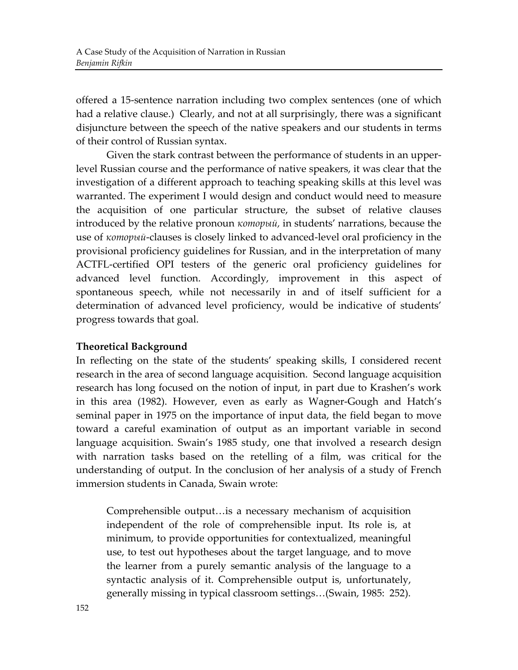offered a 15-sentence narration including two complex sentences (one of which had a relative clause.) Clearly, and not at all surprisingly, there was a significant disjuncture between the speech of the native speakers and our students in terms of their control of Russian syntax.

Given the stark contrast between the performance of students in an upperlevel Russian course and the performance of native speakers, it was clear that the investigation of a different approach to teaching speaking skills at this level was warranted. The experiment I would design and conduct would need to measure the acquisition of one particular structure, the subset of relative clauses introduced by the relative pronoun  $\kappa$ *omopu* $\tilde{u}$ , in students' narrations, because the use of *который*-clauses is closely linked to advanced-level oral proficiency in the provisional proficiency guidelines for Russian, and in the interpretation of many ACTFL-certified OPI testers of the generic oral proficiency guidelines for advanced level function. Accordingly, improvement in this aspect of spontaneous speech, while not necessarily in and of itself sufficient for a determination of advanced level proficiency, would be indicative of students' progress towards that goal.

#### **Theoretical!Background**

In reflecting on the state of the students' speaking skills, I considered recent research in the area of second language acquisition. Second language acquisition research has long focused on the notion of input, in part due to Krashen's work in this area (1982). However, even as early as Wagner-Gough and Hatch's seminal paper in 1975 on the importance of input data, the field began to move toward a careful examination of output as an important variable in second language acquisition. Swain's 1985 study, one that involved a research design with narration tasks based on the retelling of a film, was critical for the understanding of output. In the conclusion of her analysis of a study of French immersion students in Canada, Swain wrote:

Comprehensible output... is a necessary mechanism of acquisition independent of the role of comprehensible input. Its role is, at minimum, to provide opportunities for contextualized, meaningful use, to test out hypotheses about the target language, and to move the learner from a purely semantic analysis of the language to a syntactic analysis of it. Comprehensible output is, unfortunately, generally missing in typical classroom settings...(Swain, 1985: 252).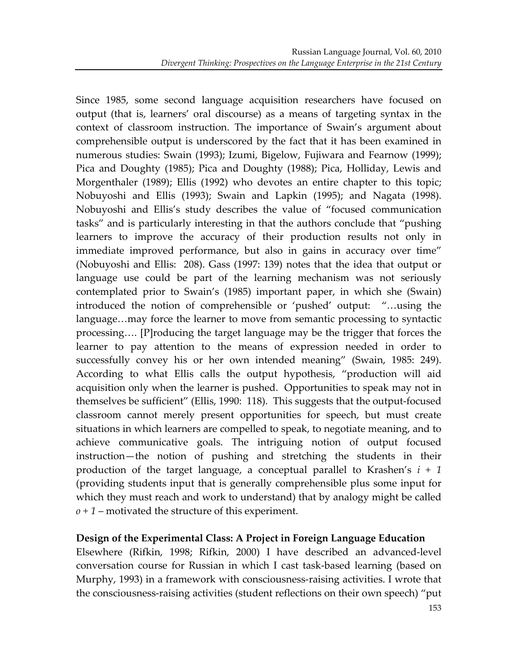Since 1985, some second language acquisition researchers have focused on output (that is, learners' oral discourse) as a means of targeting syntax in the context of classroom instruction. The importance of Swain's argument about comprehensible output is underscored by the fact that it has been examined in numerous studies: Swain (1993); Izumi, Bigelow, Fujiwara and Fearnow (1999); Pica and Doughty (1985); Pica and Doughty (1988); Pica, Holliday, Lewis and Morgenthaler (1989); Ellis (1992) who devotes an entire chapter to this topic; Nobuyoshi and Ellis (1993); Swain and Lapkin (1995); and Nagata (1998). Nobuyoshi and Ellis's study describes the value of "focused communication tasks" and is particularly interesting in that the authors conclude that "pushing' learners to improve the accuracy of their production results not only in immediate improved performance, but also in gains in accuracy over time" (Nobuyoshi and Ellis: 208). Gass (1997: 139) notes that the idea that output or language use could be part of the learning mechanism was not seriously contemplated prior to Swain's (1985) important paper, in which she (Swain) introduced the notion of comprehensible or 'pushed' output: "...using the language...may force the learner to move from semantic processing to syntactic processing....'[P]roducing the target language may be the trigger that forces the learner to pay attention to the means of expression needed in order to successfully convey his or her own intended meaning" (Swain, 1985: 249). According to what Ellis calls the output hypothesis, "production will aid acquisition only when the learner is pushed. Opportunities to speak may not in themselves be sufficient" (Ellis, 1990: 118). This suggests that the output-focused classroom cannot merely present opportunities for speech, but must create situations in which learners are compelled to speak, to negotiate meaning, and to achieve communicative goals. The intriguing notion of output focused instruction—the notion of pushing and stretching the students in their production of the target language, a conceptual parallel to Krashen's  $i + 1$ (providing students input that is generally comprehensible plus some input for which they must reach and work to understand) that by analogy might be called  $\rho$  + 1 – motivated the structure of this experiment.

#### **Design of the Experimental Class: A Project in Foreign Language Education**

Elsewhere (Rifkin, 1998; Rifkin, 2000) I have described an advanced-level conversation course for Russian in which I cast task-based learning (based on Murphy, 1993) in a framework with consciousness-raising activities. I wrote that the consciousness-raising activities (student reflections on their own speech) "put'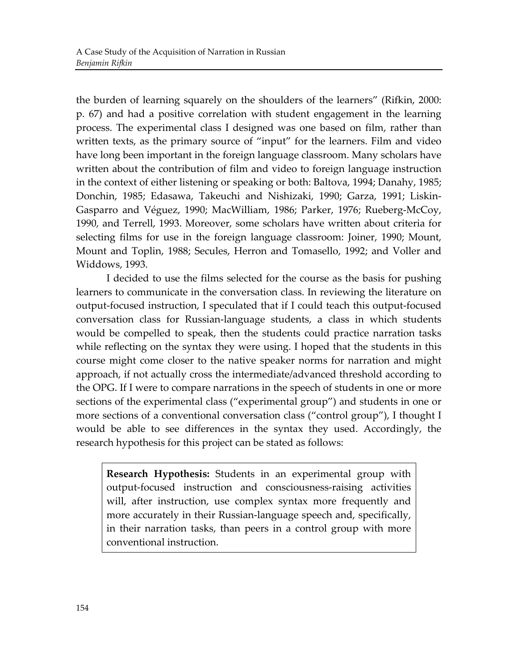the burden of learning squarely on the shoulders of the learners" (Rifkin, 2000: p. 67) and had a positive correlation with student engagement in the learning process. The experimental class I designed was one based on film, rather than written texts, as the primary source of "input" for the learners. Film and video have long been important in the foreign language classroom. Many scholars have written about the contribution of film and video to foreign language instruction in'the context of either listening or speaking or both: Baltova, 1994; Danahy, 1985; Donchin, 1985; Edasawa, Takeuchi and Nishizaki, 1990; Garza, 1991; Liskin-Gasparro and Véguez, 1990; MacWilliam, 1986; Parker, 1976; Rueberg-McCoy, 1990, and Terrell, 1993. Moreover, some scholars have written about criteria for selecting films for use in the foreign language classroom: Joiner, 1990; Mount, Mount and Toplin, 1988; Secules, Herron and Tomasello, 1992; and Voller and Widdows, 1993.

I decided to use the films selected for the course as the basis for pushing learners to communicate in the conversation class. In reviewing the literature on output-focused instruction, I speculated that if I could teach this output-focused conversation class for Russian-language students, a class in which students would be compelled to speak, then the students could practice narration tasks while reflecting on the syntax they were using. I hoped that the students in this course might come closer to the native speaker norms for narration and might approach, if not actually cross the intermediate/advanced threshold according to the OPG. If I were to compare narrations in the speech of students in one or more sections of the experimental class ("experimental group") and students in one or more sections of a conventional conversation class ("control group"), I thought I would be able to see differences in the syntax they used. Accordingly, the research hypothesis for this project can be stated as follows:

**Research Hypothesis:** Students in an experimental group with output-focused instruction and consciousness-raising activities will, after instruction, use complex syntax more frequently and more accurately in their Russian-language speech and, specifically, in their narration tasks, than peers in a control group with more conventional instruction.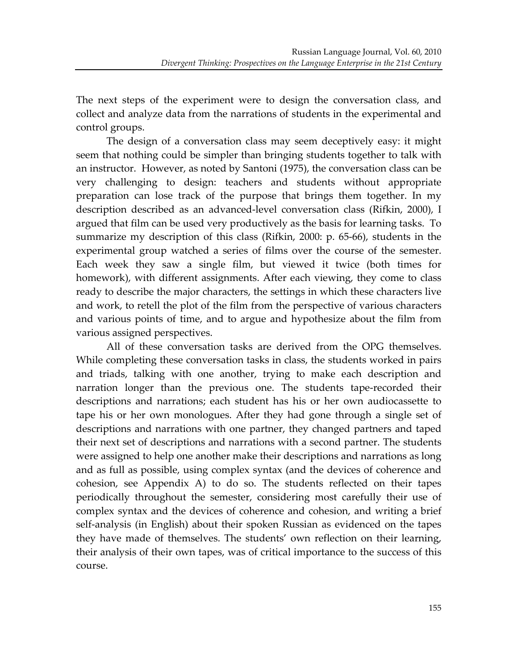The next steps of the experiment were to design the conversation class, and collect and analyze data from the narrations of students in the experimental and control groups.

The design of a conversation class may seem deceptively easy: it might seem that nothing could be simpler than bringing students together to talk with an instructor. However, as noted by Santoni (1975), the conversation class can be very challenging to design: teachers and students without appropriate preparation can lose track of the purpose that brings them together. In my description described as an advanced-level conversation class (Rifkin, 2000), I argued that film can be used very productively as the basis for learning tasks. To summarize my description of this class (Rifkin, 2000: p. 65-66), students in the experimental group watched a series of films over the course of the semester. Each week they saw a single film, but viewed it twice (both times for homework), with different assignments. After each viewing, they come to class ready to describe the major characters, the settings in which these characters live and work, to retell the plot of the film from the perspective of various characters and various points of time, and to argue and hypothesize about the film from various assigned perspectives.

All of these conversation tasks are derived from the OPG themselves. While completing these conversation tasks in class, the students worked in pairs and triads, talking with one another, trying to make each description and narration longer than the previous one. The students tape-recorded their descriptions and narrations; each student has his or her own audiocassette to tape his or her own monologues. After they had gone through a single set of descriptions and narrations with one partner, they changed partners and taped their next set of descriptions and narrations with a second partner. The students were assigned to help one another make their descriptions and narrations as long and as full as possible, using complex syntax (and the devices of coherence and cohesion, see Appendix A) to do so. The students reflected on their tapes periodically throughout the semester, considering most carefully their use of complex syntax and the devices of coherence and cohesion, and writing a brief self-analysis (in English) about their spoken Russian as evidenced on the tapes they have made of themselves. The students' own reflection on their learning, their analysis of their own tapes, was of critical importance to the success of this course.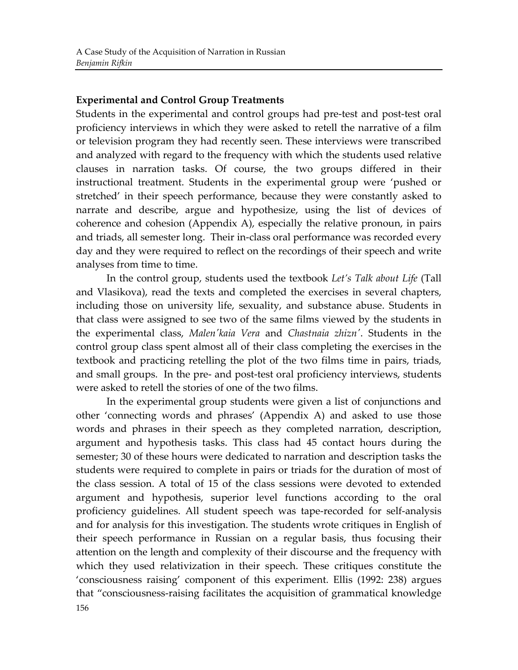#### **Experimental and Control Group Treatments**

Students in the experimental and control groups had pre-test and post-test oral proficiency interviews in which they were asked to retell the narrative of a film or television program they had recently seen. These interviews were transcribed and analyzed with regard to the frequency with which the students used relative clauses in narration tasks. Of course, the two groups differed in their instructional treatment. Students in the experimental group were 'pushed or stretched' in their speech performance, because they were constantly asked to narrate and describe, argue and hypothesize, using the list of devices of coherence and cohesion (Appendix A), especially the relative pronoun, in pairs and triads, all semester long. Their in-class oral performance was recorded every day and they were required to reflect on the recordings of their speech and write analyses from time to time.

In the control group, students used the textbook *Let's Talk about Life* (Tall) and Vlasikova), read the texts and completed the exercises in several chapters, including those on university life, sexuality, and substance abuse. Students in that class were assigned to see two of the same films viewed by the students in the experimental class, *Malen' kaia Vera* and *Chastnaia zhizn'*. Students in the control group class spent almost all of their class completing the exercises in the textbook and practicing retelling the plot of the two films time in pairs, triads, and small groups. In the pre- and post-test oral proficiency interviews, students were asked to retell the stories of one of the two films.

In the experimental group students were given a list of conjunctions and other 'connecting words and phrases' (Appendix A) and asked to use those words and phrases in their speech as they completed narration, description, argument and hypothesis tasks. This class had 45 contact hours during the semester; 30 of these hours were dedicated to narration and description tasks the students were required to complete in pairs or triads for the duration of most of the class session. A total of 15 of the class sessions were devoted to extended argument and hypothesis, superior level functions according to the oral proficiency guidelines. All student speech was tape-recorded for self-analysis and for analysis for this investigation. The students wrote critiques in English of their speech performance in Russian on a regular basis, thus focusing their attention on the length and complexity of their discourse and the frequency with which they used relativization in their speech. These critiques constitute the 'consciousness raising' component of this experiment. Ellis (1992: 238) argues that "consciousness-raising facilitates the acquisition of grammatical knowledge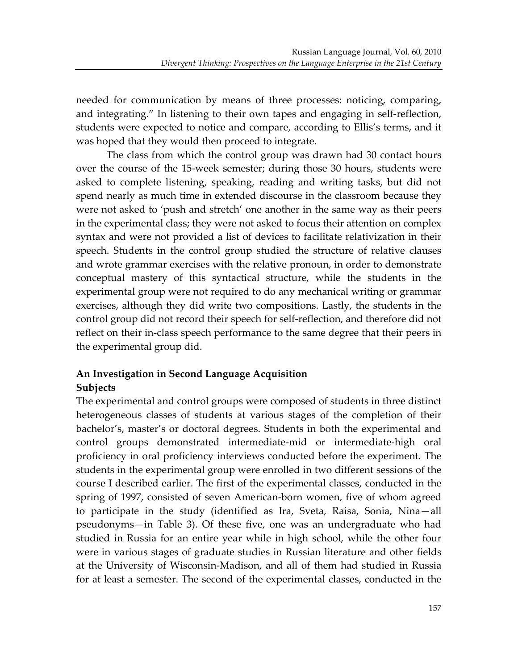needed for communication by means of three processes: noticing, comparing, and integrating." In listening to their own tapes and engaging in self-reflection, students were expected to notice and compare, according to Ellis's terms, and it was hoped that they would then proceed to integrate.

The class from which the control group was drawn had 30 contact hours' over the course of the 15-week semester; during those 30 hours, students were asked to complete listening, speaking, reading and writing tasks, but did not spend nearly as much time in extended discourse in the classroom because they were not asked to 'push and stretch' one another in the same way as their peers in the experimental class; they were not asked to focus their attention on complex syntax and were not provided a list of devices to facilitate relativization in their speech. Students in the control group studied the structure of relative clauses and wrote grammar exercises with the relative pronoun, in order to demonstrate conceptual mastery of this syntactical structure, while the students in the experimental group were not required to do any mechanical writing or grammar exercises, although they did write two compositions. Lastly, the students in the control group did not record their speech for self-reflection, and therefore did not reflect on their in-class speech performance to the same degree that their peers in the experimental group did.

## **An Investigation in Second Language Acquisition Subjects**

The experimental and control groups were composed of students in three distinct heterogeneous' classes of students at various stages of the completion of their bachelor's, master's or doctoral degrees. Students in both the experimental and control groups demonstrated intermediate-mid or intermediate-high oral proficiency in oral proficiency interviews conducted before the experiment. The students in the experimental group were enrolled in two different sessions of the course I described earlier. The first of the experimental classes, conducted in the spring of 1997, consisted of seven American-born women, five of whom agreed to participate in the study (identified as Ira, Sveta, Raisa, Sonia, Nina-all pseudonyms—in' Table' 3).' Of' these' five,' one' was' an' undergraduate' who' had' studied in Russia for an entire year while in high school, while the other four were in various stages of graduate studies in Russian literature and other fields at the University of Wisconsin-Madison, and all of them had studied in Russia for at least a semester. The second of the experimental classes, conducted in the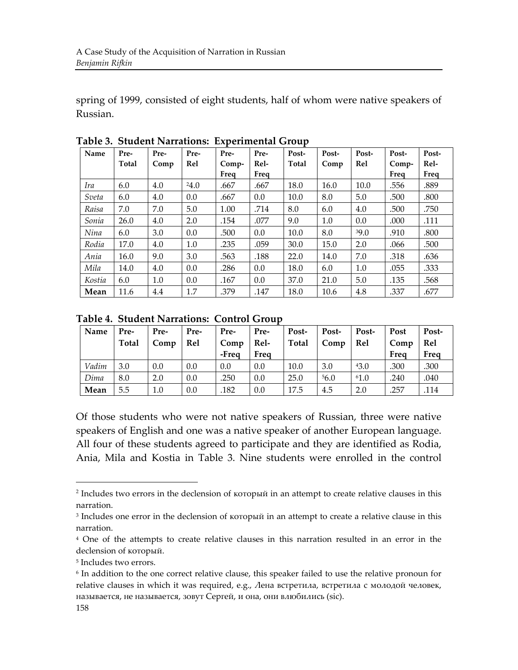spring of 1999, consisted of eight students, half of whom were native speakers of Russian.

| Name   | Pre-  | Pre- | Pre- | Pre-  | Pre- | Post- | Post- | Post- | Post- | Post- |
|--------|-------|------|------|-------|------|-------|-------|-------|-------|-------|
|        | Total | Comp | Rel  | Comp- | Rel- | Total | Comp  | Rel   | Comp- | Rel-  |
|        |       |      |      | Freq  | Freq |       |       |       | Freq  | Freq  |
| Ira    | 6.0   | 4.0  | 24.0 | .667  | .667 | 18.0  | 16.0  | 10.0  | .556  | .889  |
| Sveta  | 6.0   | 4.0  | 0.0  | .667  | 0.0  | 10.0  | 8.0   | 5.0   | .500  | .800  |
| Raisa  | 7.0   | 7.0  | 5.0  | 1.00  | .714 | 8.0   | 6.0   | 4.0   | .500  | .750  |
| Sonia  | 26.0  | 4.0  | 2.0  | .154  | .077 | 9.0   | 1.0   | 0.0   | .000  | .111  |
| Nina   | 6.0   | 3.0  | 0.0  | .500  | 0.0  | 10.0  | 8.0   | 39.0  | .910  | .800  |
| Rodia  | 17.0  | 4.0  | 1.0  | .235  | .059 | 30.0  | 15.0  | 2.0   | .066  | .500  |
| Ania   | 16.0  | 9.0  | 3.0  | .563  | .188 | 22.0  | 14.0  | 7.0   | .318  | .636  |
| Mila   | 14.0  | 4.0  | 0.0  | .286  | 0.0  | 18.0  | 6.0   | 1.0   | .055  | .333  |
| Kostia | 6.0   | 1.0  | 0.0  | .167  | 0.0  | 37.0  | 21.0  | 5.0   | .135  | .568  |
| Mean   | 11.6  | 4.4  | 1.7  | .379  | .147 | 18.0  | 10.6  | 4.8   | .337  | .677  |

**Table 3. Student Narrations: Experimental Group** 

**Table 4. Student Narrations: Control Group** 

| Name  | Pre-<br><b>Total</b> | Pre-<br>Comp | Pre-<br><b>Rel</b> | Pre-<br>Comp<br>-Frea | Pre-<br>Rel-<br>Freq | Post-<br>Total | Post-<br>Comp | Post-<br>Rel | Post<br>Comp<br>Freq | Post-<br>Rel<br>Freq |
|-------|----------------------|--------------|--------------------|-----------------------|----------------------|----------------|---------------|--------------|----------------------|----------------------|
| Vadim | 3.0                  | 0.0          | 0.0                | 0.0                   | 0.0                  | 10.0           | 3.0           | 43.0         | .300                 | .300                 |
| Dima  | 8.0                  | 2.0          | 0.0                | .250                  | 0.0                  | 25.0           | 56.0          | 61.0         | .240                 | .040                 |
| Mean  | 5.5                  | 1.0          | 0.0                | .182                  | 0.0                  | 17.5           | 4.5           | 2.0          | .257                 | .114                 |

Of those students who were not native speakers of Russian, three were native speakers of English and one was a native speaker of another European language. All four of these students agreed to participate and they are identified as Rodia, Ania, Mila and Kostia in Table 3. Nine students were enrolled in the control

 $2$  Includes two errors in the declension of который in an attempt to create relative clauses in this narration.

<sup>&</sup>lt;sup>3</sup> Includes one error in the declension of который in an attempt to create a relative clause in this narration.

<sup>&</sup>lt;sup>4</sup> One of the attempts to create relative clauses in this narration resulted in an error in the declension of который.

<sup>&</sup>lt;sup>5</sup> Includes two errors.

<sup>&</sup>lt;sup>6</sup> In addition to the one correct relative clause, this speaker failed to use the relative pronoun for relative clauses in which it was required, e.g., Лена встретила, встретила с молодой человек, называется, не называется, зовут Сергей, и она, они влюбились (sic).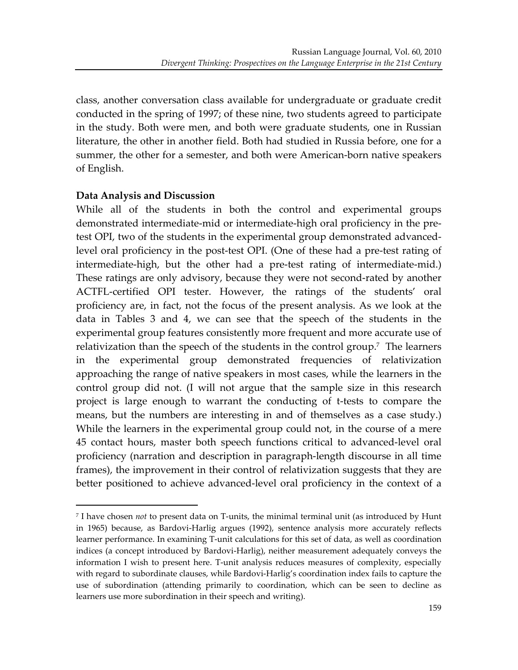class, another conversation class available for undergraduate or graduate credit conducted in the spring of 1997; of these nine, two students agreed to participate in the study. Both were men, and both were graduate students, one in Russian literature, the other in another field. Both had studied in Russia before, one for a summer, the other for a semester, and both were American-born native speakers of English.

#### **Data Analysis and Discussion**

 $\overline{a}$ 

While all of the students in both the control and experimental groups demonstrated intermediate-mid or intermediate-high oral proficiency in the pretest OPI, two of the students in the experimental group demonstrated advancedlevel oral proficiency in the post-test OPI. (One of these had a pre-test rating of intermediate-high, but the other had a pre-test rating of intermediate-mid.) These ratings are only advisory, because they were not second-rated by another ACTFL-certified OPI tester. However, the ratings of the students' oral proficiency are, in fact, not the focus of the present analysis. As we look at the data in Tables 3 and 4, we can see that the speech of the students in the experimental group features consistently more frequent and more accurate use of relativization than the speech of the students in the control group.<sup>7</sup> The learners' in the experimental group demonstrated frequencies of relativization approaching the range of native speakers in most cases, while the learners in the control group did not. (I will not argue that the sample size in this research project is large enough to warrant the conducting of t-tests to compare the means, but the numbers are interesting in and of themselves as a case study.) While the learners in the experimental group could not, in the course of a mere 45 contact hours, master both speech functions critical to advanced-level oral proficiency (narration and description in paragraph-length discourse in all time frames), the improvement in their control of relativization suggests that they are better positioned to achieve advanced-level oral proficiency in the context of a

<sup>&</sup>lt;sup>7</sup> I have chosen *not* to present data on T-units, the minimal terminal unit (as introduced by Hunt in 1965) because, as Bardovi-Harlig argues (1992), sentence analysis more accurately reflects learner performance. In examining T-unit calculations for this set of data, as well as coordination indices (a concept introduced by Bardovi-Harlig), neither measurement adequately conveys the information I wish to present here. T-unit analysis reduces measures of complexity, especially with regard to subordinate clauses, while Bardovi-Harlig's coordination index fails to capture the use of subordination (attending primarily to coordination, which can be seen to decline as learners use more subordination in their speech and writing).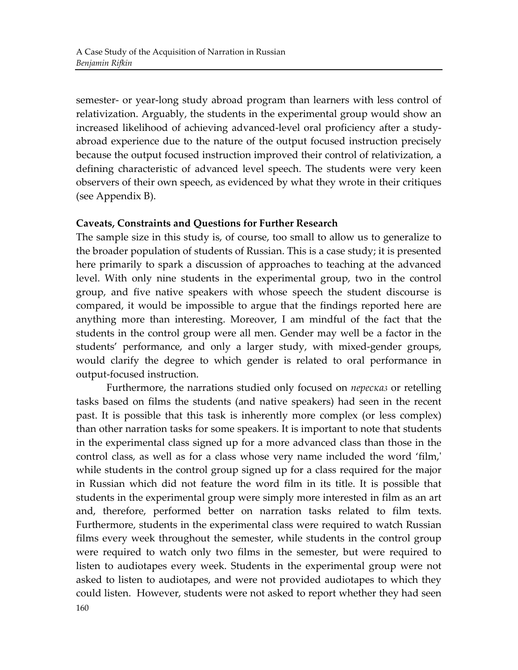semester- or year-long study abroad program than learners with less control of relativization. Arguably, the students in the experimental group would show an increased likelihood of achieving advanced-level oral proficiency after a studyabroad experience due to the nature of the output focused instruction precisely because the output focused instruction improved their control of relativization, a defining characteristic of advanced level speech. The students were very keen observers of their own speech, as evidenced by what they wrote in their critiques (see Appendix B).

#### **Caveats, Constraints and Questions for Further Research**

The sample size in this study is, of course, too small to allow us to generalize to the broader population of students of Russian. This is a case study; it is presented here primarily to spark a discussion of approaches to teaching at the advanced level. With only nine students in the experimental group, two in the control group, and five native speakers with whose speech the student discourse is compared, it would be impossible to argue that the findings reported here are anything more than interesting. Moreover, I am mindful of the fact that the students in the control group were all men. Gender may well be a factor in the students' performance, and only a larger study, with mixed-gender groups, would clarify the degree to which gender is related to oral performance in output-focused instruction.

Furthermore, the narrations studied only focused on *пересказ* or retelling tasks based on films the students (and native speakers) had seen in the recent past. It is possible that this task is inherently more complex (or less complex) than other narration tasks for some speakers. It is important to note that students in the experimental class signed up for a more advanced class than those in the control class, as well as for a class whose very name included the word 'film,' while students in the control group signed up for a class required for the major in Russian which did not feature the word film in its title. It is possible that students in the experimental group were simply more interested in film as an art and, therefore, performed better on narration tasks related to film texts. Furthermore, students in the experimental class were required to watch Russian films every week throughout the semester, while students in the control group were required to watch only two films in the semester, but were required to listen to audiotapes every week. Students in the experimental group were not asked to listen to audiotapes, and were not provided audiotapes to which they could listen.' However, students were not asked to report whether they had seen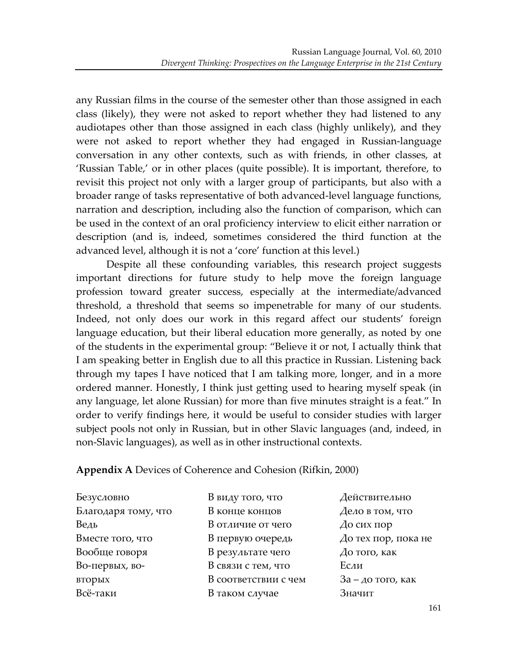any Russian films in the course of the semester other than those assigned in each class (likely), they were not asked to report whether they had listened to any audiotapes other than those assigned in each class (highly unlikely), and they were not asked to report whether they had engaged in Russian-language conversation in any other contexts, such as with friends, in other classes, at 'Russian Table,' or in other places (quite possible). It is important, therefore, to revisit this project not only with a larger group of participants, but also with a broader range of tasks representative of both advanced-level language functions, narration and description, including also the function of comparison, which can be used in the context of an oral proficiency interview to elicit either narration or description (and is, indeed, sometimes considered the third function at the advanced level, although it is not a 'core' function at this level.)

Despite all these confounding variables, this research project suggests important directions for future study to help move the foreign language profession toward greater success, especially at the intermediate/advanced threshold, a threshold that seems so impenetrable for many of our students. Indeed, not only does our work in this regard affect our students' foreign language education, but their liberal education more generally, as noted by one of the students in the experimental group: "Believe it or not, I actually think that I am speaking better in English due to all this practice in Russian. Listening back through my tapes I have noticed that I am talking more, longer, and in a more ordered manner. Honestly, I think just getting used to hearing myself speak (in) any language, let alone Russian) for more than five minutes straight is a feat." In order to verify findings here, it would be useful to consider studies with larger subject pools not only in Russian, but in other Slavic languages (and, indeed, in non-Slavic languages), as well as in other instructional contexts.

Appendix A Devices of Coherence and Cohesion (Rifkin, 2000)

| Безусловно          | В виду того, что     | Действительно        |  |  |
|---------------------|----------------------|----------------------|--|--|
| Благодаря тому, что | В конце концов       | Дело в том, что      |  |  |
| Ведь                | В отличие от чего    | До сих пор           |  |  |
| Вместе того, что    | В первую очередь     | До тех пор, пока не  |  |  |
| Вообще говоря       | В результате чего    | $\Delta$ о того, как |  |  |
| Во-первых, во-      | В связи с тем, что   | Если                 |  |  |
| вторых              | В соответствии с чем | $3a - a$ о того, как |  |  |
| Всё-таки            | В таком случае       | Значит               |  |  |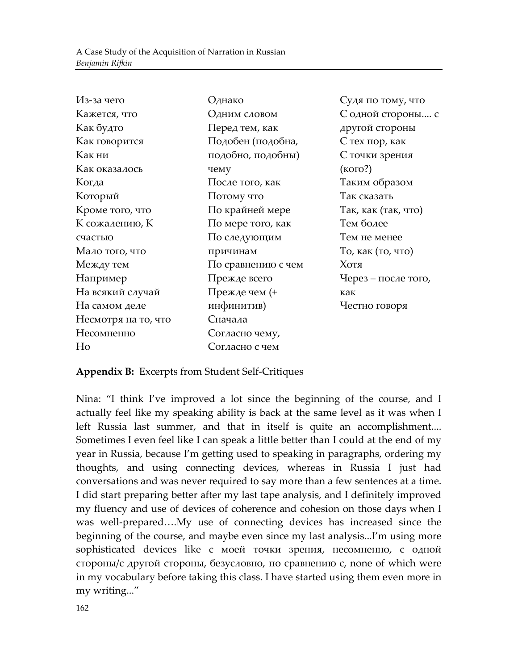| Из-за чего          | Однако             | Судя по тому, что   |
|---------------------|--------------------|---------------------|
| Кажется, что        | Одним словом       | С одной стороны с   |
| Как будто           | Перед тем, как     | другой стороны      |
| Как говорится       | Подобен (подобна,  | С тех пор, как      |
| Как ни              | подобно, подобны)  | С точки зрения      |
| Как оказалось       | чему               | (кого?)             |
| Когда               | После того, как    | Таким образом       |
| Который             | Потому что         | Так сказать         |
| Кроме того, что     | По крайней мере    | Так, как (так, что) |
| К сожалению, К      | По мере того, как  | Тем более           |
| счастью             | По следующим       | Тем не менее        |
| Мало того, что      | причинам           | То, как (то, что)   |
| Между тем           | По сравнению с чем | Хотя                |
| Например            | Прежде всего       | Через – после того, |
| На всякий случай    | Прежде чем (+      | как                 |
| На самом деле       | инфинитив)         | Честно говоря       |
| Несмотря на то, что | Сначала            |                     |
| Несомненно          | Согласно чему,     |                     |
| Ho                  | Согласно с чем     |                     |

#### Appendix B: Excerpts from Student Self-Critiques

Nina: "I think I've improved a lot since the beginning of the course, and I actually feel like my speaking ability is back at the same level as it was when I left Russia last summer, and that in itself is quite an accomplishment.... Sometimes I even feel like I can speak a little better than I could at the end of my year in Russia, because I'm getting used to speaking in paragraphs, ordering my thoughts, and using connecting devices, whereas in Russia I just had conversations and was never required to say more than a few sentences at a time. I did start preparing better after my last tape analysis, and I definitely improved my fluency and use of devices of coherence and cohesion on those days when I was well-prepared....My use of connecting devices has increased since the beginning of the course, and maybe even since my last analysis...I'm using more sophisticated devices like с моей точки зрения, несомненно, с одной стороны/с другой стороны, безусловно, по сравнению с, none of which were in'my vocabulary before taking this class. I have started using them even more in my writing..."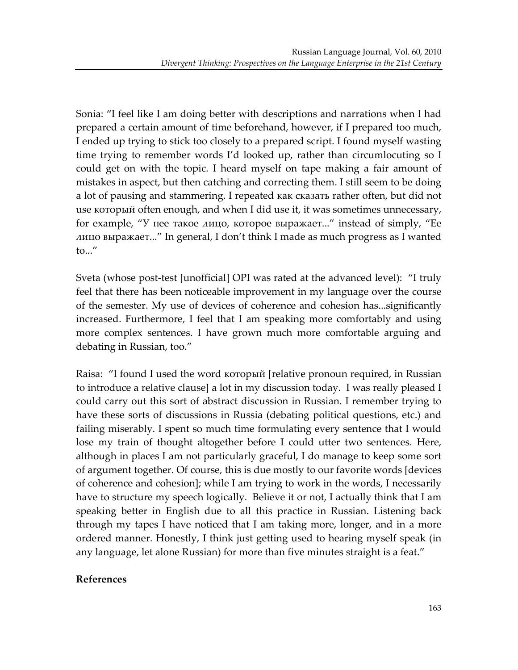Sonia: "I feel like I am doing better with descriptions and narrations when I had prepared a certain amount of time beforehand, however, if I prepared too much, I'ended up trying to stick too closely to a prepared script. I found myself wasting time trying to remember words I'd looked up, rather than circumlocuting so I could get on with the topic. I heard myself on tape making a fair amount of mistakes in aspect, but then catching and correcting them. I still seem to be doing a lot of pausing and stammering. I repeated как сказать rather often, but did not use который often enough, and when I did use it, it was sometimes unnecessary, for example, "У нее такое лицо, которое выражает..." instead of simply, "Ее лицо выражает..." In general, I don't think I made as much progress as I wanted to..."

Sveta (whose post-test [unofficial] OPI was rated at the advanced level): "I truly feel that there has been noticeable improvement in my language over the course of the semester. My use of devices of coherence and cohesion has...significantly increased. Furthermore, I feel that I am speaking more comfortably and using more complex sentences. I have grown much more comfortable arguing and debating in Russian, too."

Raisa: "I found I used the word который [relative pronoun required, in Russian to introduce a relative clause] a lot in my discussion today. I was really pleased I could carry out this sort of abstract discussion in Russian. I remember trying to have these sorts of discussions in Russia (debating political questions, etc.) and failing miserably. I spent so much time formulating every sentence that I would lose my train of thought altogether before I could utter two sentences. Here, although in places I am not particularly graceful, I do manage to keep some sort of argument together. Of course, this is due mostly to our favorite words [devices'] of coherence and cohesion]; while I am trying to work in the words, I necessarily have to structure my speech logically. Believe it or not, I actually think that I am speaking better in English due to all this practice in Russian. Listening back through my tapes I have noticed that I am taking more, longer, and in a more ordered manner. Honestly, I think just getting used to hearing myself speak (in any language, let alone Russian) for more than five minutes straight is a feat."

#### **References**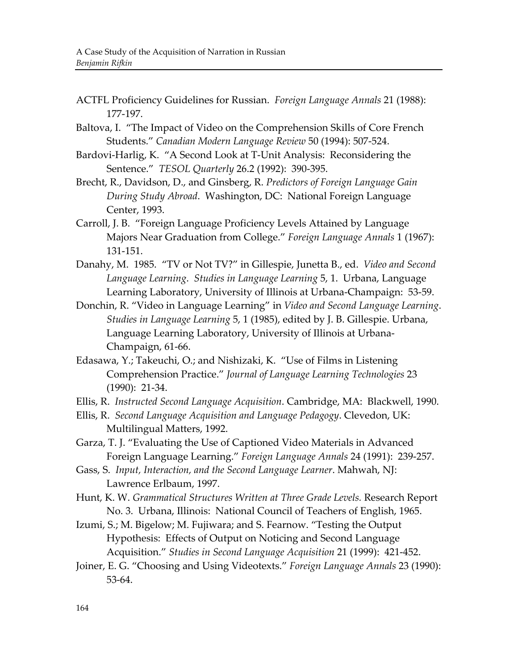- ACTFL Proficiency Guidelines for Russian. Foreign Language Annals 21 (1988): 177-197.
- Baltova, I. "The Impact of Video on the Comprehension Skills of Core French Students." Canadian Modern Language Review 50 (1994): 507-524.
- Bardovi-Harlig, K. "A Second Look at T-Unit Analysis: Reconsidering the Sentence." TESOL Quarterly 26.2 (1992): 390-395.
- Brecht, R., Davidson, D., and Ginsberg, R. Predictors of Foreign Language Gain *During Study Abroad.* Washington, DC: National Foreign Language Center, 1993.
- Carroll, J. B. "Foreign Language Proficiency Levels Attained by Language Majors Near Graduation from College." *Foreign Language Annals* 1 (1967): 131-151.
- Danahy, M. 1985. "TV or Not TV?" in Gillespie, Junetta B., ed. Video and Second Language Learning. Studies in Language Learning 5, 1. Urbana, Language Learning Laboratory, University of Illinois at Urbana-Champaign: 53-59.
- Donchin, R. "Video in Language Learning" in *Video and Second Language Learning*. *Studies in Language Learning* 5, 1 (1985), edited by J. B. Gillespie. Urbana, Language Learning Laboratory, University of Illinois at Urbana-Champaign, 61-66.
- Edasawa, Y.; Takeuchi, O.; and Nishizaki, K. "Use of Films in Listening Comprehension'Practice." *Journal)of)Language)Learning)Technologies*'23'  $(1990): 21-34.$
- Ellis, R. Instructed Second Language Acquisition. Cambridge, MA: Blackwell, 1990.
- Ellis, R. *Second Language Acquisition and Language Pedagogy*. Clevedon, UK: Multilingual Matters, 1992.
- Garza, T. J. "Evaluating the Use of Captioned Video Materials in Advanced Foreign Language Learning." *Foreign Language Annals* 24 (1991): 239-257.
- Gass, S. Input, Interaction, and the Second Language Learner. Mahwah, NJ: Lawrence Erlbaum, 1997.
- Hunt, K. W. *Grammatical Structures Written at Three Grade Levels*. Research Report No. 3. Urbana, Illinois: National Council of Teachers of English, 1965.
- Izumi, S.; M. Bigelow; M. Fujiwara; and S. Fearnow. "Testing the Output Hypothesis: Effects of Output on Noticing and Second Language Acquisition." *Studies in Second Language Acquisition* 21 (1999): 421-452.
- Joiner, E. G. "Choosing and Using Videotexts." *Foreign Language Annals* 23 (1990):  $53-64.$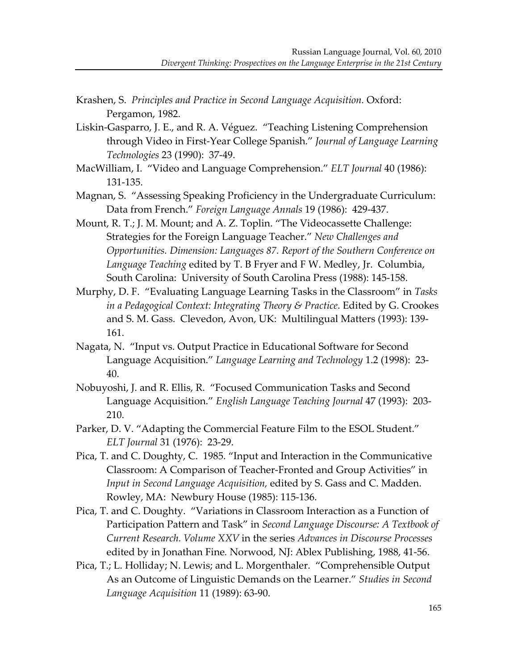- Krashen, S. Principles and Practice in Second Language Acquisition. Oxford: Pergamon, 1982.
- Liskin-Gasparro, J. E., and R. A. Véguez. "Teaching Listening Comprehension through Video in First-Year College Spanish." *Journal of Language Learning Technologies* 23 (1990): 37-49.
- MacWilliam, I. "Video and Language Comprehension." *ELT Journal* 40 (1986): 131-135.
- Magnan, S. "Assessing Speaking Proficiency in the Undergraduate Curriculum: Data from French." Foreign Language Annals 19 (1986): 429-437.
- Mount, R. T.; J. M. Mount; and A. Z. Toplin. "The Videocassette Challenge: Strategies for the Foreign Language Teacher." New Challenges and *Opportunities. Dimension: Languages 87. Report of the Southern Conference on* Language Teaching edited by T. B Fryer and F W. Medley, Jr. Columbia, South Carolina: University of South Carolina Press (1988): 145-158.
- Murphy, D. F. "Evaluating Language Learning Tasks in the Classroom" in *Tasks in a Pedagogical Context: Integrating Theory & Practice. Edited by G. Crookes* and S. M. Gass. Clevedon, Avon, UK: Multilingual Matters (1993): 139-161.
- Nagata, N. "Input vs. Output Practice in Educational Software for Second Language Acquisition." Language Learning and Technology 1.2 (1998): 23-40.
- Nobuyoshi, J. and R. Ellis, R. "Focused Communication Tasks and Second Language Acquisition." *English Language Teaching Journal* 47 (1993): 203-210.
- Parker, D. V. "Adapting the Commercial Feature Film to the ESOL Student." *ELT* Journal 31 (1976): 23-29.
- Pica, T. and C. Doughty, C. 1985. "Input and Interaction in the Communicative Classroom: A Comparison of Teacher-Fronted and Group Activities" in *Input in Second Language Acquisition,* edited by S. Gass and C. Madden. Rowley, MA: Newbury House (1985): 115-136.
- Pica, T. and C. Doughty. "Variations in Classroom Interaction as a Function of Participation Pattern and Task" in *Second Language Discourse: A Textbook of Current)Research.)Volume)XXV)*in'the'series'*Advances)in)Discourse)Processes)* edited by in Jonathan Fine. Norwood, NJ: Ablex Publishing, 1988, 41-56.
- Pica, T.; L. Holliday; N. Lewis; and L. Morgenthaler. "Comprehensible Output' As an Outcome of Linguistic Demands on the Learner." *Studies in Second Language Acquisition* 11 (1989): 63-90.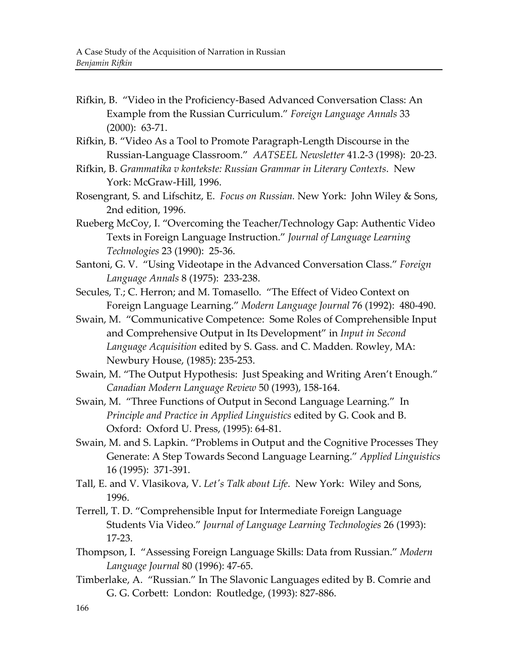- Rifkin, B. "Video in the Proficiency-Based Advanced Conversation Class: An Example from the Russian Curriculum." Foreign Language Annals<sup>33</sup>  $(2000): 63-71.$
- Rifkin, B. "Video As a Tool to Promote Paragraph-Length Discourse in the Russian-Language Classroom." *AATSEEL Newsletter* 41.2-3 (1998): 20-23.
- Rifkin, B. Grammatika v kontekste: Russian Grammar in Literary Contexts. New York: McGraw-Hill, 1996.
- Rosengrant, S. and Lifschitz, E. *Focus on Russian*. New York: John Wiley & Sons, 2nd edition, 1996.
- Rueberg McCoy, I. "Overcoming the Teacher/Technology Gap: Authentic Video' Texts in Foreign Language Instruction." Journal of Language Learning *Technologies* 23 (1990): 25-36.
- Santoni, G. V. "Using Videotape in the Advanced Conversation Class." *Foreign* Language Annals<sup>8</sup> (1975): 233-238.
- Secules, T.; C. Herron; and M. Tomasello. "The Effect of Video Context on Foreign Language Learning." *Modern Language Journal* 76 (1992): 480-490.
- Swain, M. "Communicative Competence: Some Roles of Comprehensible Input and Comprehensive Output in Its Development" in *Input in Second* Language Acquisition edited by S. Gass. and C. Madden. Rowley, MA: Newbury House, (1985): 235-253.
- Swain, M. "The Output Hypothesis: Just Speaking and Writing Aren't Enough." Canadian Modern Language Review 50 (1993), 158-164.
- Swain, M. "Three Functions of Output in Second Language Learning." In *Principle)and)Practice)in)Applied)Linguistics*'edited'by'G.'Cook'and'B. Oxford: Oxford U. Press, (1995): 64-81.
- Swain, M. and S. Lapkin. "Problems in Output and the Cognitive Processes They' Generate: A Step Towards Second Language Learning." Applied Linguistics 16 (1995): 371-391.
- Tall, E. and V. Vlasikova, V. Let's Talk about Life. New York: Wiley and Sons, 1996.
- Terrell, T. D. "Comprehensible Input for Intermediate Foreign Language Students Via Video." *Journal of Language Learning Technologies* 26 (1993): 17-23.
- Thompson,'I.''"Assessing'Foreign'Language'Skills:'Data'from'Russian." *Modern)* Language Journal 80 (1996): 47-65.
- Timberlake, A. "Russian." In The Slavonic Languages edited by B. Comrie and G. G. Corbett: London: Routledge, (1993): 827-886.